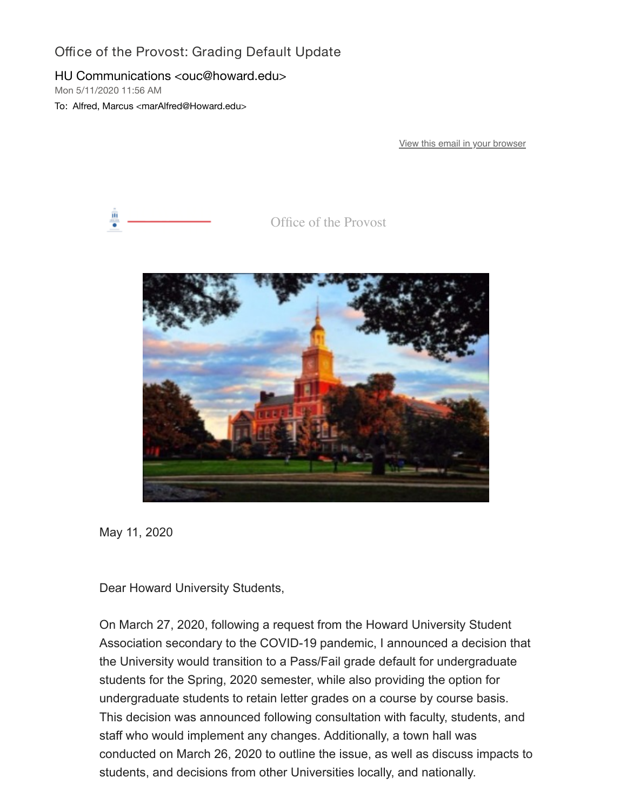## Office of the Provost: Grading Default Update

## HU Communications <ouc@howard.edu>

Mon 5/11/2020 11:56 AM

To: Alfred, Marcus <marAlfred@Howard.edu>

[View this email in your browser](https://nam04.safelinks.protection.outlook.com/?url=https%3A%2F%2Fmailchi.mp%2F5e7d6864c8d8%2Foffice-of-the-provost-grading-default-update%3Fe%3D0058eb68db&data=02%7C01%7CmarAlfred%40Howard.edu%7C73f14ab8c83141d6a25608d7f5c3d398%7C02ac0c07b75f46bf9b133630ba94bb69%7C0%7C0%7C637248093726874887&sdata=klpuJ98prHrHqfiFl87UO6IyfKv4aBT5rSFNiFYNcrk%3D&reserved=0)



Office of the Provost



May 11, 2020

Dear Howard University Students,

On March 27, 2020, following a request from the Howard University Student Association secondary to the COVID-19 pandemic, I announced a decision that the University would transition to a Pass/Fail grade default for undergraduate students for the Spring, 2020 semester, while also providing the option for undergraduate students to retain letter grades on a course by course basis. This decision was announced following consultation with faculty, students, and staff who would implement any changes. Additionally, a town hall was conducted on March 26, 2020 to outline the issue, as well as discuss impacts to students, and decisions from other Universities locally, and nationally.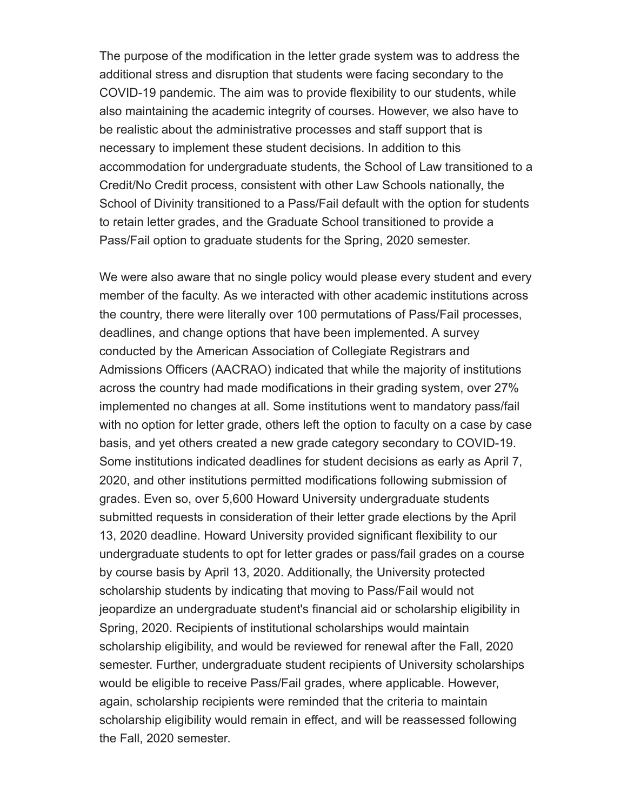The purpose of the modification in the letter grade system was to address the additional stress and disruption that students were facing secondary to the COVID-19 pandemic. The aim was to provide flexibility to our students, while also maintaining the academic integrity of courses. However, we also have to be realistic about the administrative processes and staff support that is necessary to implement these student decisions. In addition to this accommodation for undergraduate students, the School of Law transitioned to a Credit/No Credit process, consistent with other Law Schools nationally, the School of Divinity transitioned to a Pass/Fail default with the option for students to retain letter grades, and the Graduate School transitioned to provide a Pass/Fail option to graduate students for the Spring, 2020 semester.

We were also aware that no single policy would please every student and every member of the faculty. As we interacted with other academic institutions across the country, there were literally over 100 permutations of Pass/Fail processes, deadlines, and change options that have been implemented. A survey conducted by the American Association of Collegiate Registrars and Admissions Officers (AACRAO) indicated that while the majority of institutions across the country had made modifications in their grading system, over 27% implemented no changes at all. Some institutions went to mandatory pass/fail with no option for letter grade, others left the option to faculty on a case by case basis, and yet others created a new grade category secondary to COVID-19. Some institutions indicated deadlines for student decisions as early as April 7, 2020, and other institutions permitted modifications following submission of grades. Even so, over 5,600 Howard University undergraduate students submitted requests in consideration of their letter grade elections by the April 13, 2020 deadline. Howard University provided significant flexibility to our undergraduate students to opt for letter grades or pass/fail grades on a course by course basis by April 13, 2020. Additionally, the University protected scholarship students by indicating that moving to Pass/Fail would not jeopardize an undergraduate student's financial aid or scholarship eligibility in Spring, 2020. Recipients of institutional scholarships would maintain scholarship eligibility, and would be reviewed for renewal after the Fall, 2020 semester. Further, undergraduate student recipients of University scholarships would be eligible to receive Pass/Fail grades, where applicable. However, again, scholarship recipients were reminded that the criteria to maintain scholarship eligibility would remain in effect, and will be reassessed following the Fall, 2020 semester.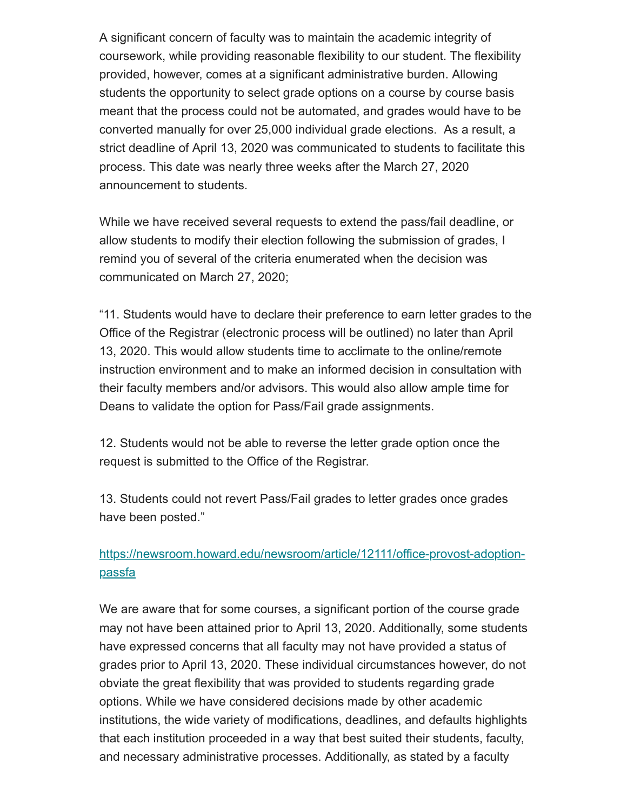A significant concern of faculty was to maintain the academic integrity of coursework, while providing reasonable flexibility to our student. The flexibility provided, however, comes at a significant administrative burden. Allowing students the opportunity to select grade options on a course by course basis meant that the process could not be automated, and grades would have to be converted manually for over 25,000 individual grade elections. As a result, a strict deadline of April 13, 2020 was communicated to students to facilitate this process. This date was nearly three weeks after the March 27, 2020 announcement to students.

While we have received several requests to extend the pass/fail deadline, or allow students to modify their election following the submission of grades, I remind you of several of the criteria enumerated when the decision was communicated on March 27, 2020;

"11. Students would have to declare their preference to earn letter grades to the Office of the Registrar (electronic process will be outlined) no later than April 13, 2020. This would allow students time to acclimate to the online/remote instruction environment and to make an informed decision in consultation with their faculty members and/or advisors. This would also allow ample time for Deans to validate the option for Pass/Fail grade assignments.

12. Students would not be able to reverse the letter grade option once the request is submitted to the Office of the Registrar.

13. Students could not revert Pass/Fail grades to letter grades once grades have been posted."

## [https://newsroom.howard.edu/newsroom/article/12111/office-provost-adoption](https://nam04.safelinks.protection.outlook.com/?url=https%3A%2F%2Fhoward.us3.list-manage.com%2Ftrack%2Fclick%3Fu%3Dda96b3e11d604fc7332653c0e%26id%3D30b6ba2ca5%26e%3D0058eb68db&data=02%7C01%7CmarAlfred%40Howard.edu%7C73f14ab8c83141d6a25608d7f5c3d398%7C02ac0c07b75f46bf9b133630ba94bb69%7C0%7C0%7C637248093726884883&sdata=FH9x4lWUsGFWS57eWlRpiiMQEoa%2FjlMWaJU5PXOSTEs%3D&reserved=0)passfa

We are aware that for some courses, a significant portion of the course grade may not have been attained prior to April 13, 2020. Additionally, some students have expressed concerns that all faculty may not have provided a status of grades prior to April 13, 2020. These individual circumstances however, do not obviate the great flexibility that was provided to students regarding grade options. While we have considered decisions made by other academic institutions, the wide variety of modifications, deadlines, and defaults highlights that each institution proceeded in a way that best suited their students, faculty, and necessary administrative processes. Additionally, as stated by a faculty